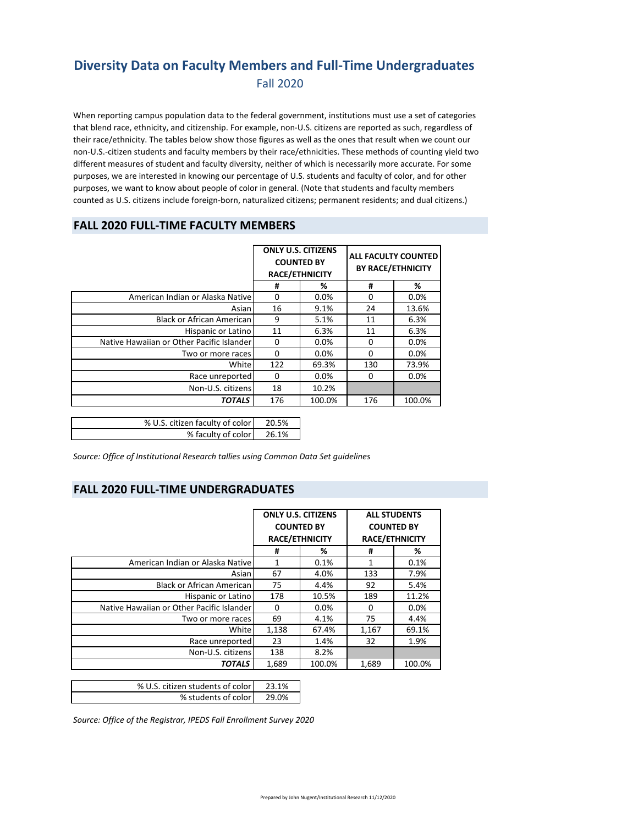## **Diversity Data on Faculty Members and Full‐Time Undergraduates** Fall 2020

When reporting campus population data to the federal government, institutions must use a set of categories that blend race, ethnicity, and citizenship. For example, non‐U.S. citizens are reported as such, regardless of their race/ethnicity. The tables below show those figures as well as the ones that result when we count our non‐U.S.‐citizen students and faculty members by their race/ethnicities. These methods of counting yield two different measures of student and faculty diversity, neither of which is necessarily more accurate. For some purposes, we are interested in knowing our percentage of U.S. students and faculty of color, and for other purposes, we want to know about people of color in general. (Note that students and faculty members counted as U.S. citizens include foreign‐born, naturalized citizens; permanent residents; and dual citizens.)

#### **FALL 2020 FULL‐TIME FACULTY MEMBERS**

|                                           | <b>ONLY U.S. CITIZENS</b><br><b>COUNTED BY</b><br><b>RACE/ETHNICITY</b> |         |     | <b>ALL FACULTY COUNTED</b><br><b>BY RACE/ETHNICITY</b> |
|-------------------------------------------|-------------------------------------------------------------------------|---------|-----|--------------------------------------------------------|
|                                           | #                                                                       | %       | #   | %                                                      |
| American Indian or Alaska Native          | 0                                                                       | 0.0%    | 0   | 0.0%                                                   |
| Asian                                     | 16                                                                      | 9.1%    | 24  | 13.6%                                                  |
| <b>Black or African American</b>          | 9                                                                       | 5.1%    | 11  | 6.3%                                                   |
| Hispanic or Latino                        | 11                                                                      | 6.3%    | 11  | 6.3%                                                   |
| Native Hawaiian or Other Pacific Islander | 0                                                                       | 0.0%    | 0   | 0.0%                                                   |
| Two or more races                         | 0                                                                       | 0.0%    | 0   | 0.0%                                                   |
| White                                     | 122                                                                     | 69.3%   | 130 | 73.9%                                                  |
| Race unreported                           | 0                                                                       | $0.0\%$ | 0   | 0.0%                                                   |
| Non-U.S. citizens                         | 18                                                                      | 10.2%   |     |                                                        |
| <b>TOTALS</b>                             | 176                                                                     | 100.0%  | 176 | 100.0%                                                 |
|                                           |                                                                         |         |     |                                                        |
| % LLS citizen faculty of color            | 20.5%                                                                   |         |     |                                                        |

| % faculty of color<br>26.1% | % U.S. citizen faculty of color | 20.5% |
|-----------------------------|---------------------------------|-------|
|                             |                                 |       |

*Source: Office of Institutional Research tallies using Common Data Set guidelines*

#### **FALL 2020 FULL‐TIME UNDERGRADUATES**

|                                           | <b>ONLY U.S. CITIZENS</b><br><b>COUNTED BY</b><br><b>RACE/ETHNICITY</b> |        | <b>ALL STUDENTS</b><br><b>COUNTED BY</b><br><b>RACE/ETHNICITY</b> |        |
|-------------------------------------------|-------------------------------------------------------------------------|--------|-------------------------------------------------------------------|--------|
|                                           |                                                                         |        |                                                                   |        |
|                                           | #                                                                       | %      | #                                                                 | %      |
| American Indian or Alaska Native          | 1                                                                       | 0.1%   | 1                                                                 | 0.1%   |
| Asian                                     | 67                                                                      | 4.0%   | 133                                                               | 7.9%   |
| <b>Black or African American</b>          | 75                                                                      | 4.4%   | 92                                                                | 5.4%   |
| Hispanic or Latino                        | 178                                                                     | 10.5%  | 189                                                               | 11.2%  |
| Native Hawaiian or Other Pacific Islander | $\Omega$                                                                | 0.0%   | $\Omega$                                                          | 0.0%   |
| Two or more races                         | 69                                                                      | 4.1%   | 75                                                                | 4.4%   |
| Whitel                                    | 1,138                                                                   | 67.4%  | 1,167                                                             | 69.1%  |
| Race unreported                           | 23                                                                      | 1.4%   | 32                                                                | 1.9%   |
| Non-U.S. citizens                         | 138                                                                     | 8.2%   |                                                                   |        |
| <b>TOTALS</b>                             | 1,689                                                                   | 100.0% | 1,689                                                             | 100.0% |

| % U.S. citizen students of color |  |
|----------------------------------|--|
| % students of color              |  |

*Source: Office of the Registrar, IPEDS Fall Enrollment Survey 2020*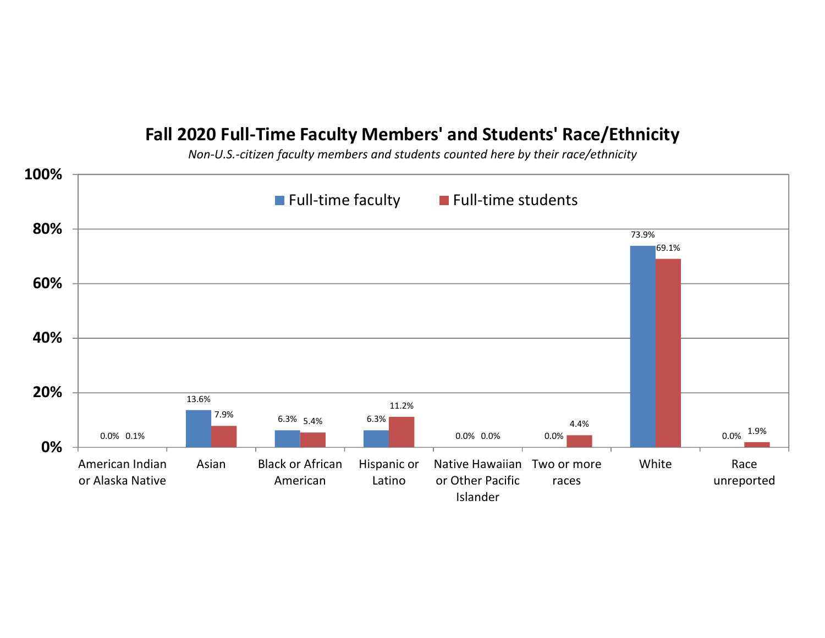## **Fall 2020 Full‐Time Faculty Members' and Students' Race/Ethnicity**

*Non‐U.S.‐citizen faculty members and students counted here by their race/ethnicity*

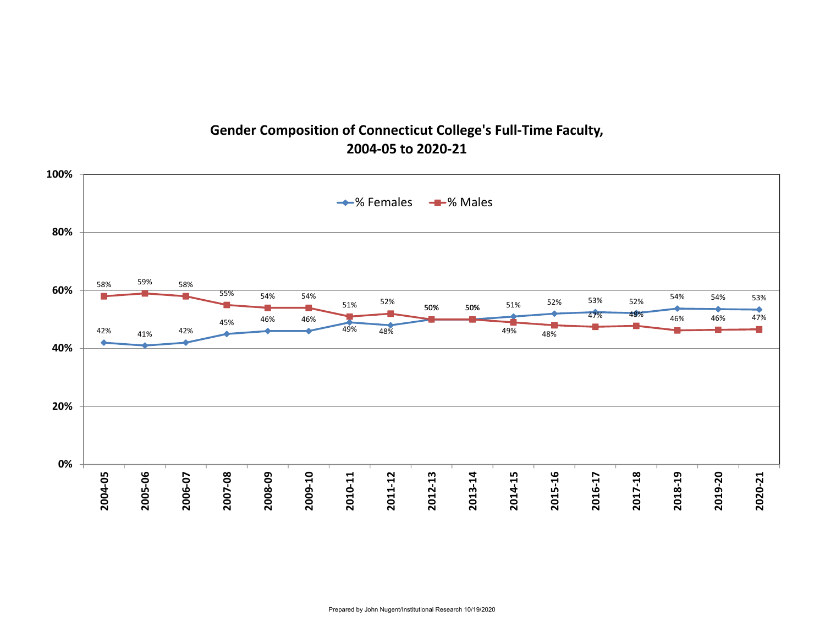## **Gender Composition of Connecticut College's Full‐Time Faculty, 2004‐05 to 2020‐21**

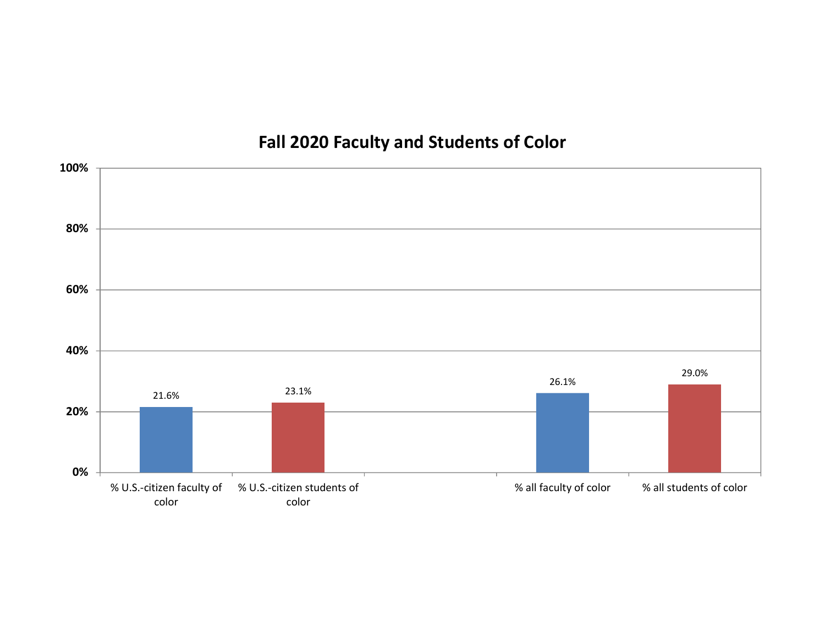## **Fall 2020 Faculty and Students of Color**

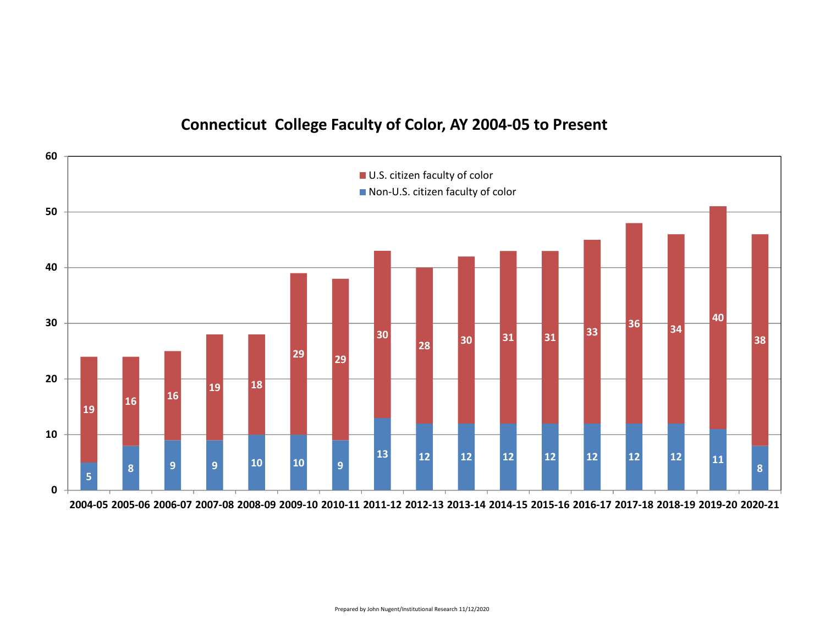### **Connecticut College Faculty of Color, AY 2004‐05 to Present**

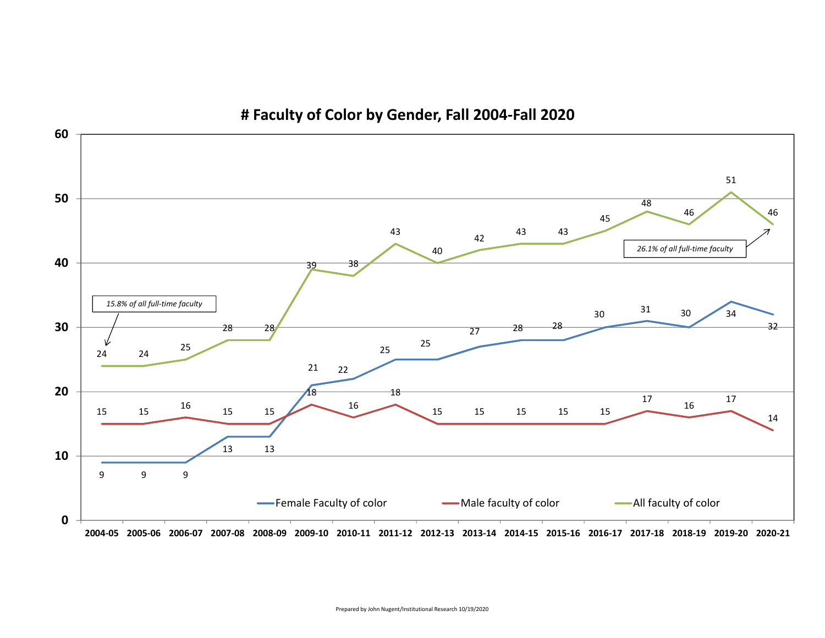

**# Faculty of Color by Gender, Fall 2004‐Fall 2020**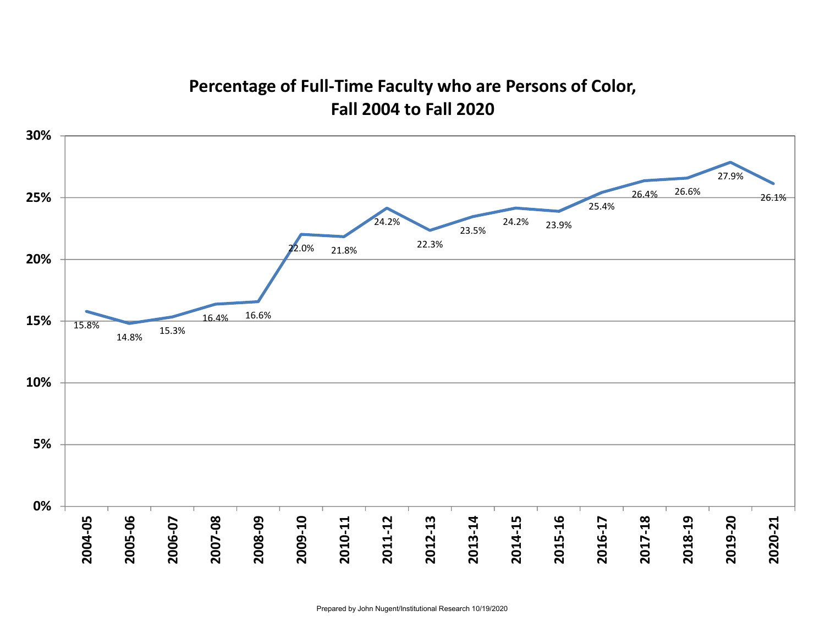# **Percentage of Full‐Time Faculty who are Persons of Color, Fall 2004 to Fall 2020**

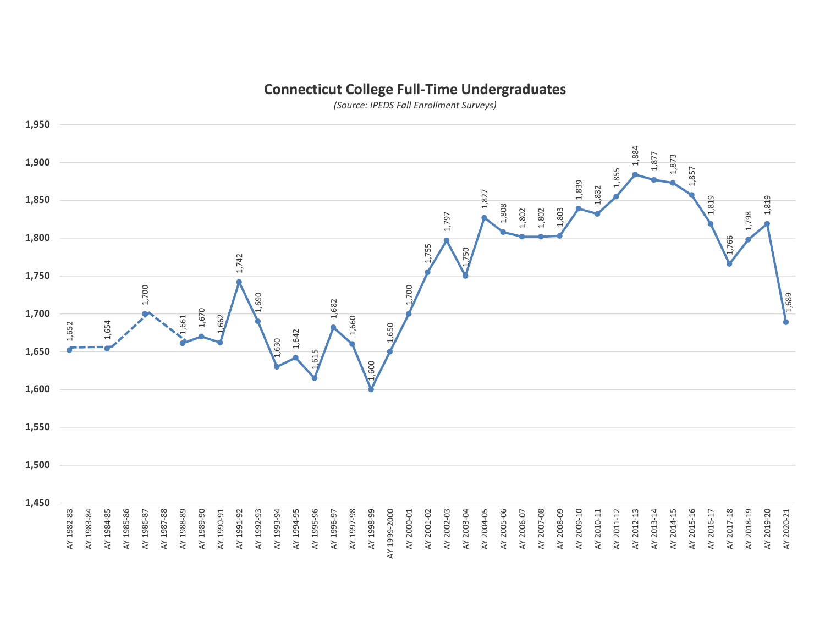### **Connecticut College Full‐Time Undergraduates**

*(Source: IPEDS Fall Enrollment Surveys)*

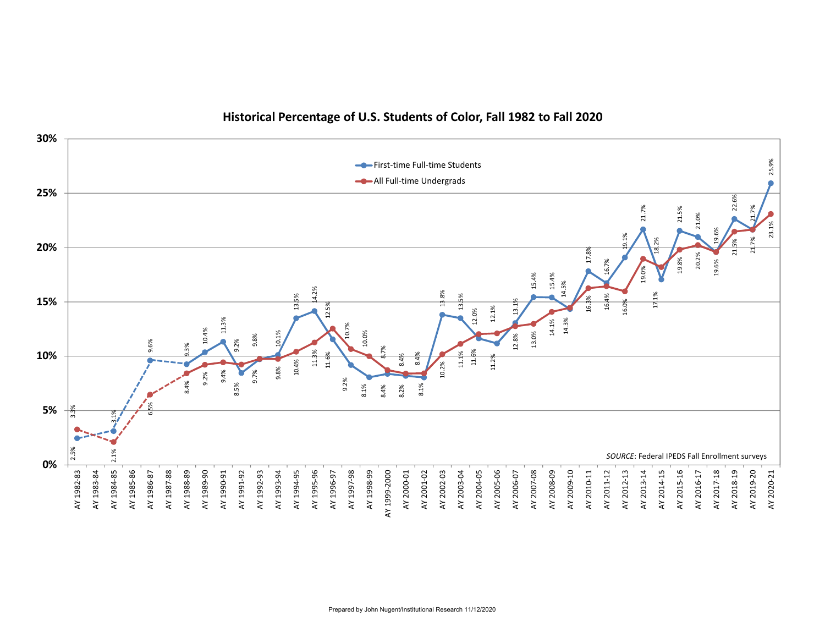#### **Historical Percentage of U.S. Students of Color, Fall 1982 to Fall 2020**

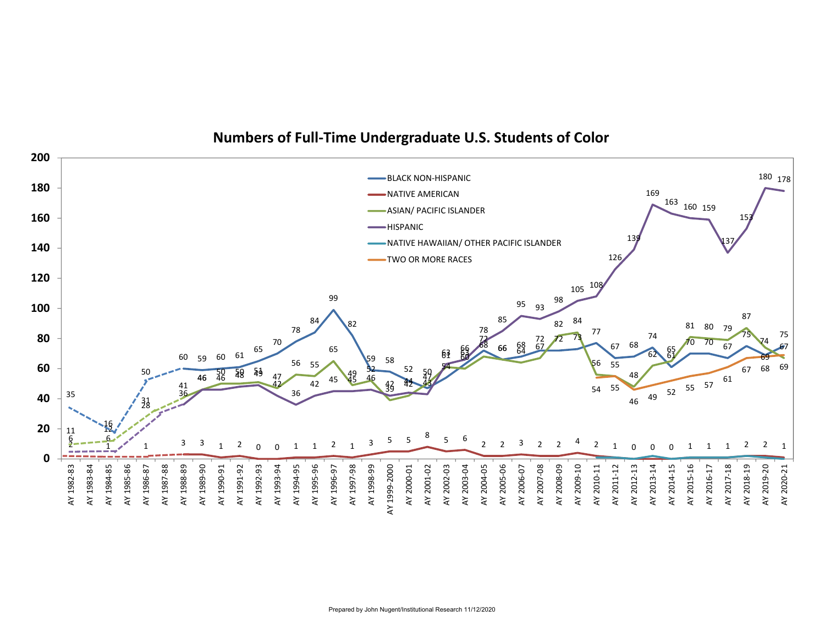

### **Numbers of Full‐Time Undergraduate U.S. Students of Color**